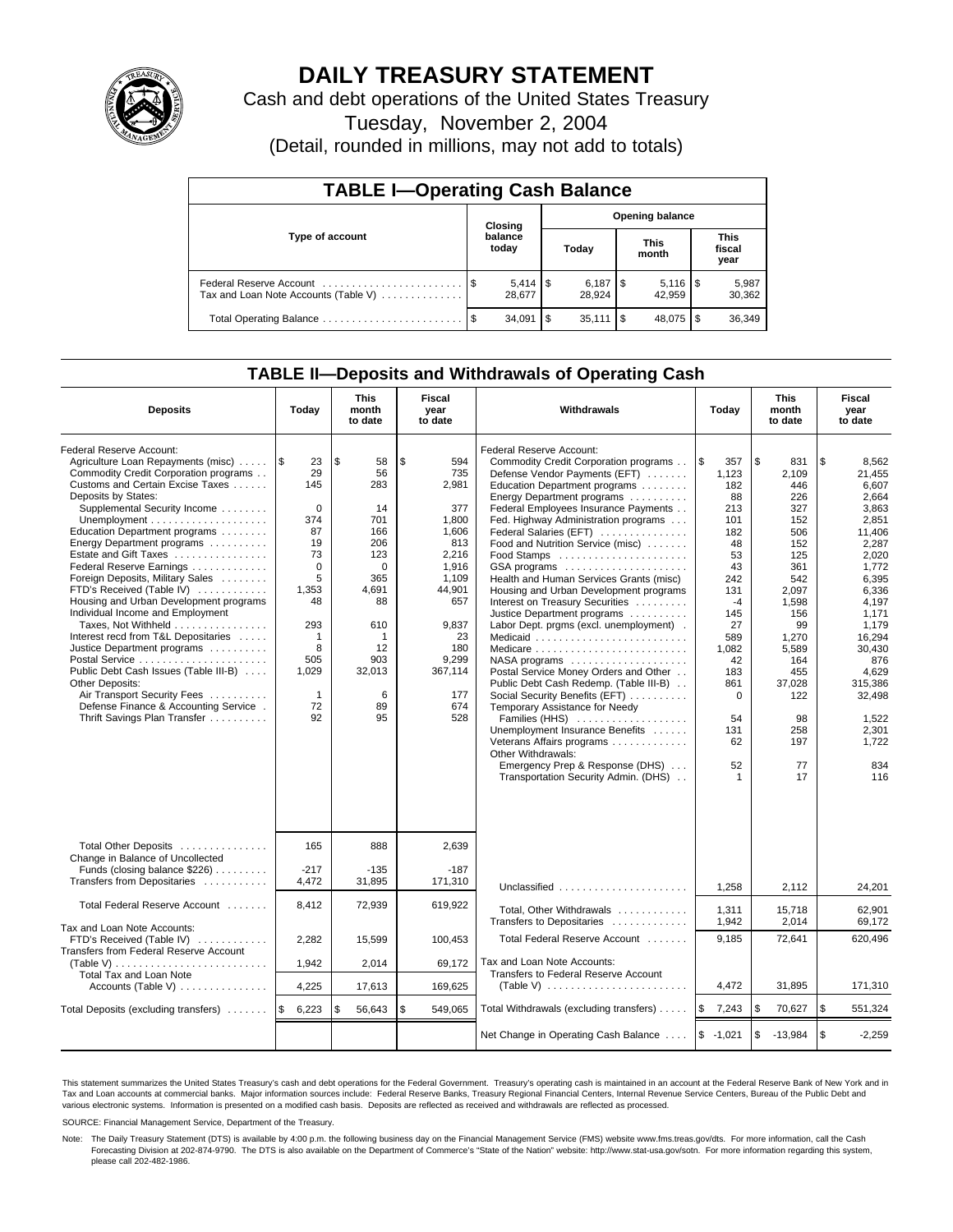

# **DAILY TREASURY STATEMENT**

Cash and debt operations of the United States Treasury

Tuesday, November 2, 2004

(Detail, rounded in millions, may not add to totals)

| <b>TABLE I-Operating Cash Balance</b>                           |  |                  |   |                              |  |                        |                               |                 |  |  |
|-----------------------------------------------------------------|--|------------------|---|------------------------------|--|------------------------|-------------------------------|-----------------|--|--|
|                                                                 |  | Closing          |   |                              |  | <b>Opening balance</b> |                               |                 |  |  |
| Type of account                                                 |  | balance<br>today |   | Today                        |  | <b>This</b><br>month   | <b>This</b><br>fiscal<br>year |                 |  |  |
| Federal Reserve Account<br>Tax and Loan Note Accounts (Table V) |  | 28.677           |   | $6,187$ $\sqrt{5}$<br>28.924 |  | 42.959                 |                               | 5,987<br>30,362 |  |  |
| Total Operating Balance                                         |  | 34.091           | S | $35,111$ $\sqrt{5}$          |  | 48.075 \\$             |                               | 36,349          |  |  |

### **TABLE II—Deposits and Withdrawals of Operating Cash**

| <b>Deposits</b>                                                                                                                                                                                                                                                                                                                                                                                                                                                                                                                                                                                                                                                                                                                        | Today                                                                                                                                                              | <b>This</b><br>month<br>to date                                                                                                               | <b>Fiscal</b><br>year<br>to date                                                                                                                                     | <b>Withdrawals</b>                                                                                                                                                                                                                                                                                                                                                                                                                                                                                                                                                                                                                                                                                                                                                                                                                                                                                                                                                          | Today                                                                                                                                                                                        | <b>This</b><br>month<br>to date                                                                                                                                                                   | <b>Fiscal</b><br>year<br>to date                                                                                                                                                                                                              |
|----------------------------------------------------------------------------------------------------------------------------------------------------------------------------------------------------------------------------------------------------------------------------------------------------------------------------------------------------------------------------------------------------------------------------------------------------------------------------------------------------------------------------------------------------------------------------------------------------------------------------------------------------------------------------------------------------------------------------------------|--------------------------------------------------------------------------------------------------------------------------------------------------------------------|-----------------------------------------------------------------------------------------------------------------------------------------------|----------------------------------------------------------------------------------------------------------------------------------------------------------------------|-----------------------------------------------------------------------------------------------------------------------------------------------------------------------------------------------------------------------------------------------------------------------------------------------------------------------------------------------------------------------------------------------------------------------------------------------------------------------------------------------------------------------------------------------------------------------------------------------------------------------------------------------------------------------------------------------------------------------------------------------------------------------------------------------------------------------------------------------------------------------------------------------------------------------------------------------------------------------------|----------------------------------------------------------------------------------------------------------------------------------------------------------------------------------------------|---------------------------------------------------------------------------------------------------------------------------------------------------------------------------------------------------|-----------------------------------------------------------------------------------------------------------------------------------------------------------------------------------------------------------------------------------------------|
| Federal Reserve Account:<br>Agriculture Loan Repayments (misc)<br>Commodity Credit Corporation programs<br>Customs and Certain Excise Taxes<br>Deposits by States:<br>Supplemental Security Income<br>Education Department programs<br>Energy Department programs<br>Estate and Gift Taxes<br>Federal Reserve Earnings<br>Foreign Deposits, Military Sales<br>FTD's Received (Table IV)<br>Housing and Urban Development programs<br>Individual Income and Employment<br>Taxes, Not Withheld<br>Interest recd from T&L Depositaries<br>Justice Department programs<br>Public Debt Cash Issues (Table III-B)<br>Other Deposits:<br>Air Transport Security Fees<br>Defense Finance & Accounting Service.<br>Thrift Savings Plan Transfer | 1\$<br>23<br>29<br>145<br>$\Omega$<br>374<br>87<br>19<br>73<br>$\Omega$<br>5<br>1,353<br>48<br>293<br>$\mathbf 1$<br>8<br>505<br>1,029<br>$\mathbf{1}$<br>72<br>92 | \$<br>58<br>56<br>283<br>14<br>701<br>166<br>206<br>123<br>$\Omega$<br>365<br>4,691<br>88<br>610<br>1<br>12<br>903<br>32,013<br>6<br>89<br>95 | \$<br>594<br>735<br>2,981<br>377<br>1,800<br>1,606<br>813<br>2,216<br>1.916<br>1.109<br>44,901<br>657<br>9,837<br>23<br>180<br>9.299<br>367,114<br>177<br>674<br>528 | Federal Reserve Account:<br>Commodity Credit Corporation programs<br>Defense Vendor Payments (EFT)<br>Education Department programs<br>Energy Department programs<br>Federal Employees Insurance Payments<br>Fed. Highway Administration programs<br>Federal Salaries (EFT)<br>Food and Nutrition Service (misc)<br>Food Stamps<br>GSA programs<br>Health and Human Services Grants (misc)<br>Housing and Urban Development programs<br>Interest on Treasury Securities<br>Justice Department programs<br>Labor Dept. prgms (excl. unemployment).<br>Medicaid<br>Medicare<br>$NASA$ programs $\ldots \ldots \ldots \ldots \ldots$<br>Postal Service Money Orders and Other<br>Public Debt Cash Redemp. (Table III-B)<br>Social Security Benefits (EFT)<br>Temporary Assistance for Needy<br>Families (HHS)<br>Unemployment Insurance Benefits<br>Veterans Affairs programs<br>Other Withdrawals:<br>Emergency Prep & Response (DHS)<br>Transportation Security Admin. (DHS) | l \$<br>357<br>1.123<br>182<br>88<br>213<br>101<br>182<br>48<br>53<br>43<br>242<br>131<br>$-4$<br>145<br>27<br>589<br>1.082<br>42<br>183<br>861<br>$\mathbf 0$<br>54<br>131<br>62<br>52<br>1 | \$<br>831<br>2.109<br>446<br>226<br>327<br>152<br>506<br>152<br>125<br>361<br>542<br>2,097<br>1,598<br>156<br>99<br>1,270<br>5,589<br>164<br>455<br>37,028<br>122<br>98<br>258<br>197<br>77<br>17 | \$<br>8,562<br>21.455<br>6.607<br>2.664<br>3,863<br>2,851<br>11,406<br>2,287<br>2.020<br>1.772<br>6,395<br>6,336<br>4,197<br>1,171<br>1.179<br>16.294<br>30.430<br>876<br>4,629<br>315,386<br>32,498<br>1,522<br>2.301<br>1.722<br>834<br>116 |
| Total Other Deposits<br>Change in Balance of Uncollected<br>Funds (closing balance \$226)<br>Transfers from Depositaries<br>Total Federal Reserve Account<br>Tax and Loan Note Accounts:<br>FTD's Received (Table IV)<br><b>Transfers from Federal Reserve Account</b><br>(Table V)<br>Total Tax and Loan Note<br>Accounts (Table V)<br>Total Deposits (excluding transfers)                                                                                                                                                                                                                                                                                                                                                           | 165<br>$-217$<br>4,472<br>8,412<br>2,282<br>1,942<br>4,225<br>\$<br>6,223                                                                                          | 888<br>$-135$<br>31,895<br>72,939<br>15,599<br>2,014<br>17,613<br>56,643<br>\$                                                                | 2,639<br>$-187$<br>171,310<br>619,922<br>100,453<br>69.172<br>169.625<br>\$<br>549,065                                                                               | Total, Other Withdrawals<br>Transfers to Depositaries<br>Total Federal Reserve Account<br>Tax and Loan Note Accounts:<br>Transfers to Federal Reserve Account<br>(Table V) $\ldots \ldots \ldots \ldots \ldots \ldots \ldots$<br>Total Withdrawals (excluding transfers)                                                                                                                                                                                                                                                                                                                                                                                                                                                                                                                                                                                                                                                                                                    | 1,258<br>1,311<br>1,942<br>9,185<br>4,472<br>۱\$<br>7,243                                                                                                                                    | 2,112<br>15,718<br>2,014<br>72,641<br>31,895<br>\$<br>70,627                                                                                                                                      | 24,201<br>62,901<br>69.172<br>620,496<br>171,310<br>\$<br>551,324                                                                                                                                                                             |
|                                                                                                                                                                                                                                                                                                                                                                                                                                                                                                                                                                                                                                                                                                                                        |                                                                                                                                                                    |                                                                                                                                               |                                                                                                                                                                      | Net Change in Operating Cash Balance                                                                                                                                                                                                                                                                                                                                                                                                                                                                                                                                                                                                                                                                                                                                                                                                                                                                                                                                        | $$ -1,021$                                                                                                                                                                                   | \$<br>$-13,984$                                                                                                                                                                                   | \$<br>$-2.259$                                                                                                                                                                                                                                |

This statement summarizes the United States Treasury's cash and debt operations for the Federal Government. Treasury's operating cash is maintained in an account at the Federal Reserve Bank of New York and in Tax and Loan accounts at commercial banks. Major information sources include: Federal Reserve Banks, Treasury Regional Financial Centers, Internal Revenue Service Centers, Bureau of the Public Debt and<br>various electronic s

SOURCE: Financial Management Service, Department of the Treasury.

Note: The Daily Treasury Statement (DTS) is available by 4:00 p.m. the following business day on the Financial Management Service (FMS) website www.fms.treas.gov/dts. For more information, call the Cash Forecasting Division at 202-874-9790. The DTS is also available on the Department of Commerce's "State of the Nation" website: http://www.stat-usa.gov/sotn. For more information regarding this system, please call 202-482-1986.